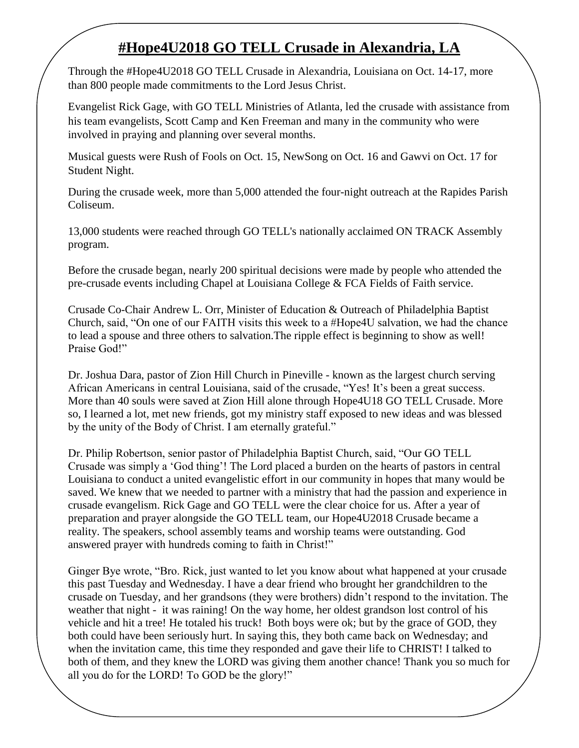## **#Hope4U2018 GO TELL Crusade in Alexandria, LA**

Through the #Hope4U2018 GO TELL Crusade in Alexandria, Louisiana on Oct. 14-17, more than 800 people made commitments to the Lord Jesus Christ.

Evangelist Rick Gage, with GO TELL Ministries of Atlanta, led the crusade with assistance from his team evangelists, Scott Camp and Ken Freeman and many in the community who were involved in praying and planning over several months.

Musical guests were Rush of Fools on Oct. 15, NewSong on Oct. 16 and Gawvi on Oct. 17 for Student Night.

During the crusade week, more than 5,000 attended the four-night outreach at the Rapides Parish Coliseum.

13,000 students were reached through GO TELL's nationally acclaimed ON TRACK Assembly program.

Before the crusade began, nearly 200 spiritual decisions were made by people who attended the pre-crusade events including Chapel at Louisiana College & FCA Fields of Faith service.

Crusade Co-Chair Andrew L. Orr, Minister of Education & Outreach of Philadelphia Baptist Church, said, "On one of our FAITH visits this week to a #Hope4U salvation, we had the chance to lead a spouse and three others to salvation.The ripple effect is beginning to show as well! Praise God!"

Dr. Joshua Dara, pastor of Zion Hill Church in Pineville - known as the largest church serving African Americans in central Louisiana, said of the crusade, "Yes! It's been a great success. More than 40 souls were saved at Zion Hill alone through Hope4U18 GO TELL Crusade. More so, I learned a lot, met new friends, got my ministry staff exposed to new ideas and was blessed by the unity of the Body of Christ. I am eternally grateful."

Dr. Philip Robertson, senior pastor of Philadelphia Baptist Church, said, "Our GO TELL Crusade was simply a "God thing"! The Lord placed a burden on the hearts of pastors in central Louisiana to conduct a united evangelistic effort in our community in hopes that many would be saved. We knew that we needed to partner with a ministry that had the passion and experience in crusade evangelism. Rick Gage and GO TELL were the clear choice for us. After a year of preparation and prayer alongside the GO TELL team, our Hope4U2018 Crusade became a reality. The speakers, school assembly teams and worship teams were outstanding. God answered prayer with hundreds coming to faith in Christ!"

Ginger Bye wrote, "Bro. Rick, just wanted to let you know about what happened at your crusade this past Tuesday and Wednesday. I have a dear friend who brought her grandchildren to the crusade on Tuesday, and her grandsons (they were brothers) didn"t respond to the invitation. The weather that night - it was raining! On the way home, her oldest grandson lost control of his vehicle and hit a tree! He totaled his truck! Both boys were ok; but by the grace of GOD, they both could have been seriously hurt. In saying this, they both came back on Wednesday; and when the invitation came, this time they responded and gave their life to CHRIST! I talked to both of them, and they knew the LORD was giving them another chance! Thank you so much for all you do for the LORD! To GOD be the glory!"